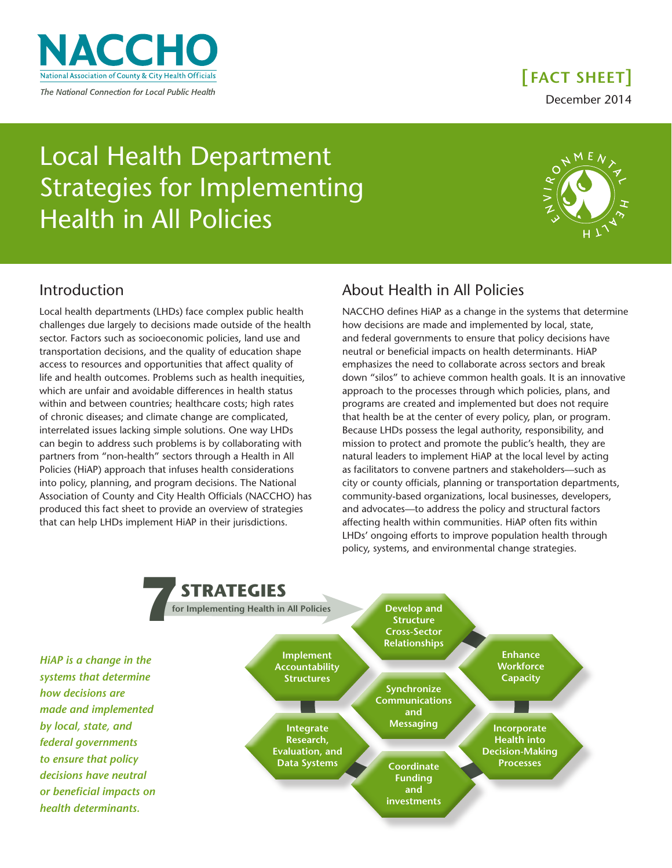

December 2014 **[ FACT SHEET]**

Local Health Department Strategies for Implementing Health in All Policies



## Introduction

Local health departments (LHDs) face complex public health challenges due largely to decisions made outside of the health sector. Factors such as socioeconomic policies, land use and transportation decisions, and the quality of education shape access to resources and opportunities that affect quality of life and health outcomes. Problems such as health inequities, which are unfair and avoidable differences in health status within and between countries; healthcare costs; high rates of chronic diseases; and climate change are complicated, interrelated issues lacking simple solutions. One way LHDs can begin to address such problems is by collaborating with partners from "non-health" sectors through a Health in All Policies (HiAP) approach that infuses health considerations into policy, planning, and program decisions. The National Association of County and City Health Officials (NACCHO) has produced this fact sheet to provide an overview of strategies that can help LHDs implement HiAP in their jurisdictions.

# About Health in All Policies

NACCHO defines HiAP as a change in the systems that determine how decisions are made and implemented by local, state, and federal governments to ensure that policy decisions have neutral or beneficial impacts on health determinants. HiAP emphasizes the need to collaborate across sectors and break down "silos" to achieve common health goals. It is an innovative approach to the processes through which policies, plans, and programs are created and implemented but does not require that health be at the center of every policy, plan, or program. Because LHDs possess the legal authority, responsibility, and mission to protect and promote the public's health, they are natural leaders to implement HiAP at the local level by acting as facilitators to convene partners and stakeholders—such as city or county officials, planning or transportation departments, community-based organizations, local businesses, developers, and advocates—to address the policy and structural factors affecting health within communities. HiAP often fits within LHDs' ongoing efforts to improve population health through policy, systems, and environmental change strategies.

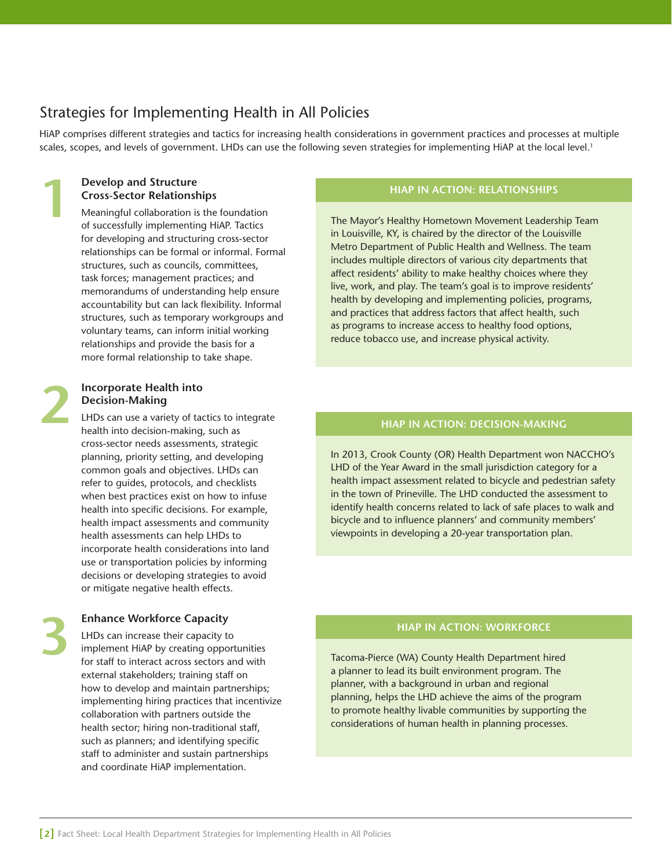# Strategies for Implementing Health in All Policies

HiAP comprises different strategies and tactics for increasing health considerations in government practices and processes at multiple scales, scopes, and levels of government. LHDs can use the following seven strategies for implementing HiAP at the local level.<sup>1</sup>

#### **Develop and Structure Cross-Sector Relationships**

Meaningful collaboration is the foundation of successfully implementing HiAP. Tactics for developing and structuring cross-sector relationships can be formal or informal. Formal structures, such as councils, committees, task forces; management practices; and memorandums of understanding help ensure accountability but can lack flexibility. Informal structures, such as temporary workgroups and voluntary teams, can inform initial working relationships and provide the basis for a more formal relationship to take shape.

# **2**

**3**

**1**

#### **Incorporate Health into Decision-Making**

LHDs can use a variety of tactics to integrate health into decision-making, such as cross-sector needs assessments, strategic planning, priority setting, and developing common goals and objectives. LHDs can refer to guides, protocols, and checklists when best practices exist on how to infuse health into specific decisions. For example, health impact assessments and community health assessments can help LHDs to incorporate health considerations into land use or transportation policies by informing decisions or developing strategies to avoid or mitigate negative health effects.

## **Enhance Workforce Capacity**

LHDs can increase their capacity to implement HiAP by creating opportunities for staff to interact across sectors and with external stakeholders; training staff on how to develop and maintain partnerships; implementing hiring practices that incentivize collaboration with partners outside the health sector; hiring non-traditional staff, such as planners; and identifying specific staff to administer and sustain partnerships and coordinate HiAP implementation.

#### **HIAP IN ACTION: RELATIONSHIPS**

The Mayor's Healthy Hometown Movement Leadership Team in Louisville, KY, is chaired by the director of the Louisville Metro Department of Public Health and Wellness. The team includes multiple directors of various city departments that affect residents' ability to make healthy choices where they live, work, and play. The team's goal is to improve residents' health by developing and implementing policies, programs, and practices that address factors that affect health, such as programs to increase access to healthy food options, reduce tobacco use, and increase physical activity.

#### **HIAP IN ACTION: DECISION-MAKING**

In 2013, Crook County (OR) Health Department won NACCHO's LHD of the Year Award in the small jurisdiction category for a health impact assessment related to bicycle and pedestrian safety in the town of Prineville. The LHD conducted the assessment to identify health concerns related to lack of safe places to walk and bicycle and to influence planners' and community members' viewpoints in developing a 20-year transportation plan.

#### **HIAP IN ACTION: WORKFORCE**

Tacoma-Pierce (WA) County Health Department hired a planner to lead its built environment program. The planner, with a background in urban and regional planning, helps the LHD achieve the aims of the program to promote healthy livable communities by supporting the considerations of human health in planning processes.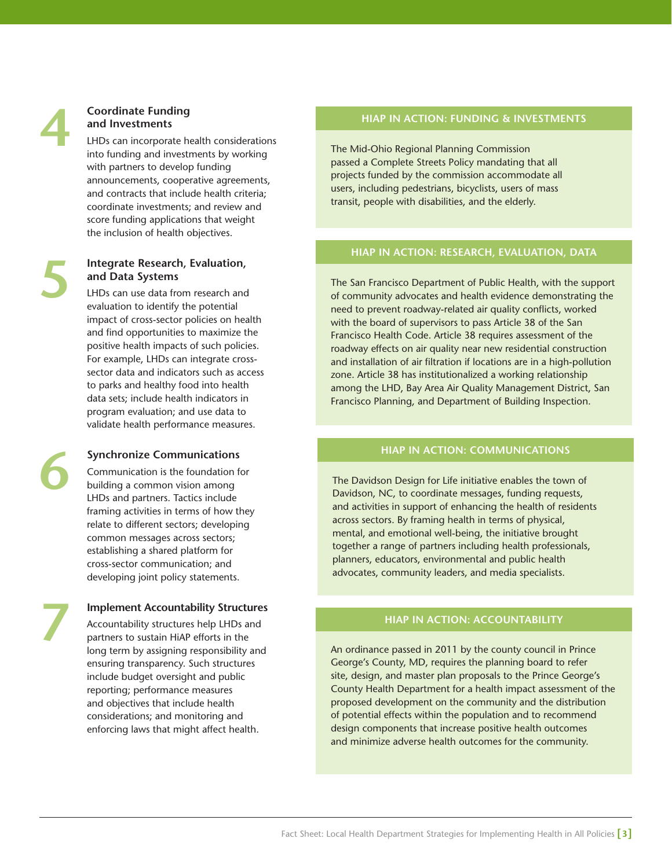# **4**

**5**

**6**

**7**

## **Coordinate Funding and Investments**

LHDs can incorporate health considerations into funding and investments by working with partners to develop funding announcements, cooperative agreements, and contracts that include health criteria; coordinate investments; and review and score funding applications that weight the inclusion of health objectives.

## **Integrate Research, Evaluation, and Data Systems**

LHDs can use data from research and evaluation to identify the potential impact of cross-sector policies on health and find opportunities to maximize the positive health impacts of such policies. For example, LHDs can integrate crosssector data and indicators such as access to parks and healthy food into health data sets; include health indicators in program evaluation; and use data to validate health performance measures.

## **Synchronize Communications**

Communication is the foundation for building a common vision among LHDs and partners. Tactics include framing activities in terms of how they relate to different sectors; developing common messages across sectors; establishing a shared platform for cross-sector communication; and developing joint policy statements.

## **Implement Accountability Structures**

Accountability structures help LHDs and partners to sustain HiAP efforts in the long term by assigning responsibility and ensuring transparency. Such structures include budget oversight and public reporting; performance measures and objectives that include health considerations; and monitoring and enforcing laws that might affect health.

#### **HIAP IN ACTION: FUNDING & INVESTMENTS**

The Mid-Ohio Regional Planning Commission passed a Complete Streets Policy mandating that all projects funded by the commission accommodate all users, including pedestrians, bicyclists, users of mass transit, people with disabilities, and the elderly.

## **HIAP IN ACTION: RESEARCH, EVALUATION, DATA**

The San Francisco Department of Public Health, with the support of community advocates and health evidence demonstrating the need to prevent roadway-related air quality conflicts, worked with the board of supervisors to pass Article 38 of the San Francisco Health Code. Article 38 requires assessment of the roadway effects on air quality near new residential construction and installation of air filtration if locations are in a high-pollution zone. Article 38 has institutionalized a working relationship among the LHD, Bay Area Air Quality Management District, San Francisco Planning, and Department of Building Inspection.

#### **HIAP IN ACTION: COMMUNICATIONS**

The Davidson Design for Life initiative enables the town of Davidson, NC, to coordinate messages, funding requests, and activities in support of enhancing the health of residents across sectors. By framing health in terms of physical, mental, and emotional well-being, the initiative brought together a range of partners including health professionals, planners, educators, environmental and public health advocates, community leaders, and media specialists.

## **HIAP IN ACTION: ACCOUNTABILITY**

An ordinance passed in 2011 by the county council in Prince George's County, MD, requires the planning board to refer site, design, and master plan proposals to the Prince George's County Health Department for a health impact assessment of the proposed development on the community and the distribution of potential effects within the population and to recommend design components that increase positive health outcomes and minimize adverse health outcomes for the community.